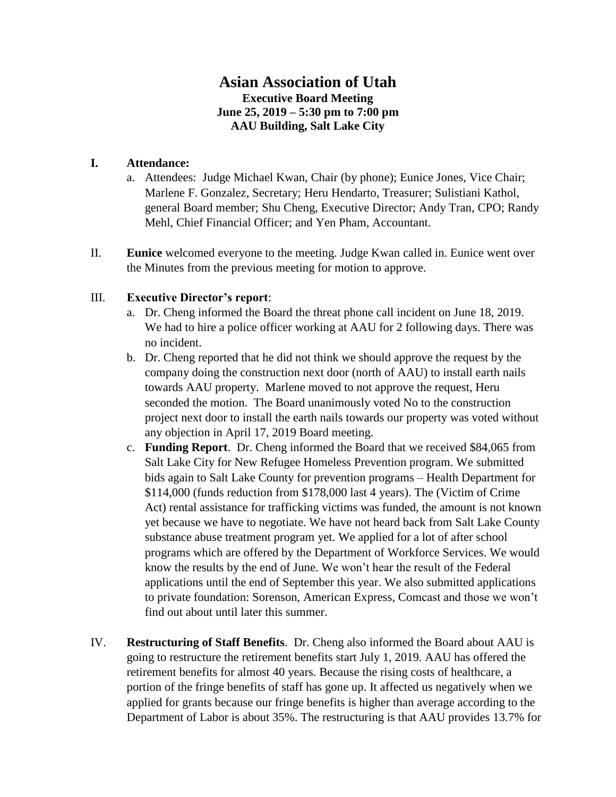## **Asian Association of Utah Executive Board Meeting June 25, 2019 – 5:30 pm to 7:00 pm AAU Building, Salt Lake City**

## **I. Attendance:**

- a. Attendees: Judge Michael Kwan, Chair (by phone); Eunice Jones, Vice Chair; Marlene F. Gonzalez, Secretary; Heru Hendarto, Treasurer; Sulistiani Kathol, general Board member; Shu Cheng, Executive Director; Andy Tran, CPO; Randy Mehl, Chief Financial Officer; and Yen Pham, Accountant.
- II. **Eunice** welcomed everyone to the meeting. Judge Kwan called in. Eunice went over the Minutes from the previous meeting for motion to approve.

## III. **Executive Director's report**:

- a. Dr. Cheng informed the Board the threat phone call incident on June 18, 2019. We had to hire a police officer working at AAU for 2 following days. There was no incident.
- b. Dr. Cheng reported that he did not think we should approve the request by the company doing the construction next door (north of AAU) to install earth nails towards AAU property. Marlene moved to not approve the request, Heru seconded the motion. The Board unanimously voted No to the construction project next door to install the earth nails towards our property was voted without any objection in April 17, 2019 Board meeting.
- c. **Funding Report**. Dr. Cheng informed the Board that we received \$84,065 from Salt Lake City for New Refugee Homeless Prevention program. We submitted bids again to Salt Lake County for prevention programs – Health Department for \$114,000 (funds reduction from \$178,000 last 4 years). The (Victim of Crime Act) rental assistance for trafficking victims was funded, the amount is not known yet because we have to negotiate. We have not heard back from Salt Lake County substance abuse treatment program yet. We applied for a lot of after school programs which are offered by the Department of Workforce Services. We would know the results by the end of June. We won't hear the result of the Federal applications until the end of September this year. We also submitted applications to private foundation: Sorenson, American Express, Comcast and those we won't find out about until later this summer.
- IV. **Restructuring of Staff Benefits**. Dr. Cheng also informed the Board about AAU is going to restructure the retirement benefits start July 1, 2019. AAU has offered the retirement benefits for almost 40 years. Because the rising costs of healthcare, a portion of the fringe benefits of staff has gone up. It affected us negatively when we applied for grants because our fringe benefits is higher than average according to the Department of Labor is about 35%. The restructuring is that AAU provides 13.7% for